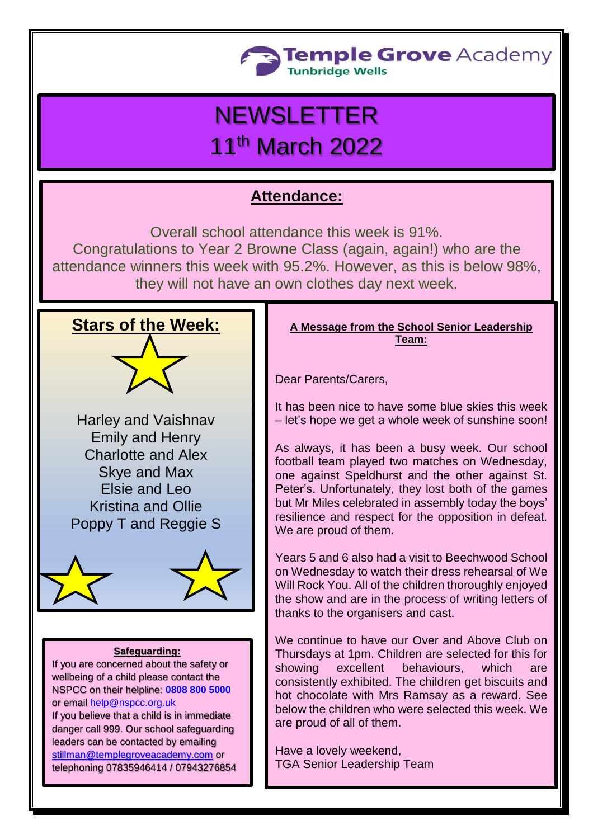

# **NEWSLETTER** 11th March 2022

# **Attendance:**

Overall school attendance this week is 91%. Congratulations to Year 2 Browne Class (again, again!) who are the attendance winners this week with 95.2%. However, as this is below 98%, they will not have an own clothes day next week.

# **Stars of the Week:**

Harley and Vaishnav Emily and Henry Charlotte and Alex Skye and Max Elsie and Leo Kristina and Ollie Poppy T and Reggie S



## **Safeguarding:**

If you are concerned about the safety or wellbeing of a child please contact the NSPCC on their helpline: **[0808 800 5000](tel:08088005000)** or email [help@nspcc.org.uk](mailto:help@nspcc.org.uk)

If you believe that a child is in immediate danger call 999. Our school safeguarding leaders can be contacted by emailing [stillman@templegroveacademy.com](mailto:stillman@templegroveacademy.com) or telephoning 07835946414 / 07943276854

# **A Message from the School Senior Leadership Team:**

Dear Parents/Carers,

It has been nice to have some blue skies this week – let's hope we get a whole week of sunshine soon!

As always, it has been a busy week. Our school football team played two matches on Wednesday, one against Speldhurst and the other against St. Peter's. Unfortunately, they lost both of the games but Mr Miles celebrated in assembly today the boys' resilience and respect for the opposition in defeat. We are proud of them.

Years 5 and 6 also had a visit to Beechwood School on Wednesday to watch their dress rehearsal of We Will Rock You. All of the children thoroughly enjoyed the show and are in the process of writing letters of thanks to the organisers and cast.

We continue to have our Over and Above Club on Thursdays at 1pm. Children are selected for this for showing excellent behaviours, which are consistently exhibited. The children get biscuits and hot chocolate with Mrs Ramsay as a reward. See below the children who were selected this week. We are proud of all of them.

Have a lovely weekend, TGA Senior Leadership Team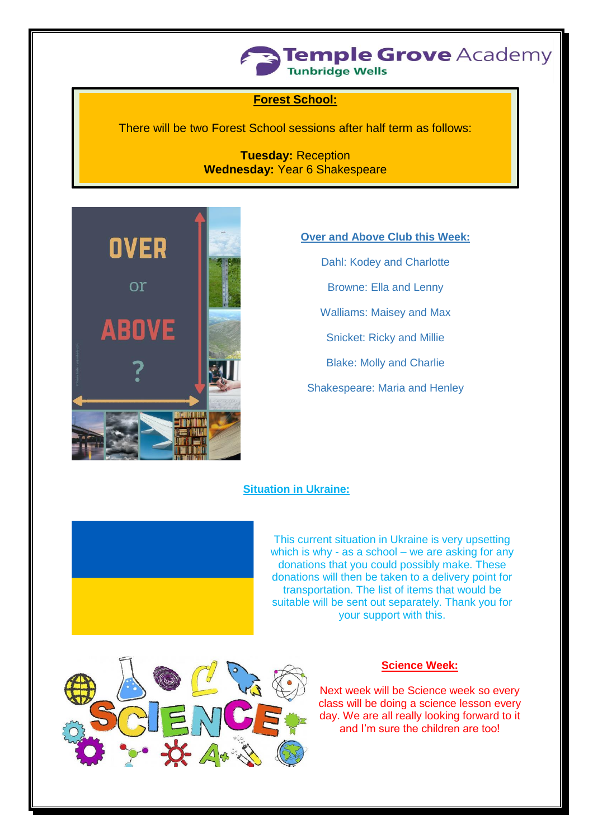

# **Forest School:**

There will be two Forest School sessions after half term as follows:

**Tuesday:** Reception **Wednesday:** Year 6 Shakespeare



#### **Over and Above Club this Week:**

Dahl: Kodey and Charlotte

Browne: Ella and Lenny

Walliams: Maisey and Max

Snicket: Ricky and Millie

Blake: Molly and Charlie

Shakespeare: Maria and Henley

#### **Situation in Ukraine:**



This current situation in Ukraine is very upsetting which is why - as a school – we are asking for any donations that you could possibly make. These donations will then be taken to a delivery point for transportation. The list of items that would be suitable will be sent out separately. Thank you for your support with this.



# **Science Week:**

Next week will be Science week so every class will be doing a science lesson every day. We are all really looking forward to it and I'm sure the children are too!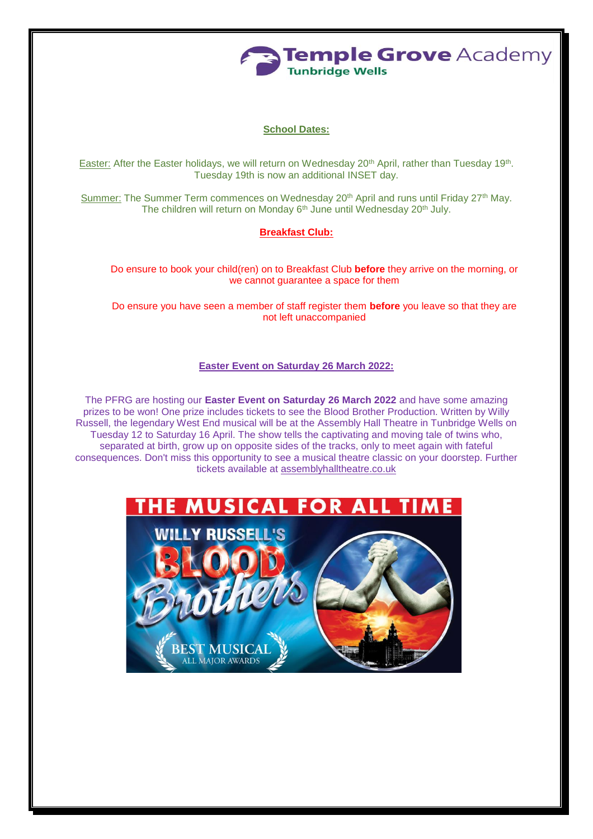

# **School Dates:**

Easter: After the Easter holidays, we will return on Wednesday 20<sup>th</sup> April, rather than Tuesday 19<sup>th</sup>. Tuesday 19th is now an additional INSET day.

Summer: The Summer Term commences on Wednesday 20<sup>th</sup> April and runs until Friday 27<sup>th</sup> May. The children will return on Monday 6<sup>th</sup> June until Wednesday 20<sup>th</sup> July.

#### **Breakfast Club:**

Do ensure to book your child(ren) on to Breakfast Club **before** they arrive on the morning, or we cannot guarantee a space for them

Do ensure you have seen a member of staff register them **before** you leave so that they are not left unaccompanied

#### **Easter Event on Saturday 26 March 2022:**

The PFRG are hosting our **Easter Event on Saturday 26 March 2022** and have some amazing prizes to be won! One prize includes tickets to see the Blood Brother Production. Written by Willy Russell, the legendary West End musical will be at the Assembly Hall Theatre in Tunbridge Wells on Tuesday 12 to Saturday 16 April. The show tells the captivating and moving tale of twins who, separated at birth, grow up on opposite sides of the tracks, only to meet again with fateful consequences. Don't miss this opportunity to see a musical theatre classic on your doorstep. Further tickets available at [assemblyhalltheatre.co.uk](http://assemblyhalltheatre.co.uk/?fbclid=IwAR1E_tW-zXhQQPteW4_gto7Wq7_tYYxvS7uuoh10UT3DI4ncqVLJcinVCrw)

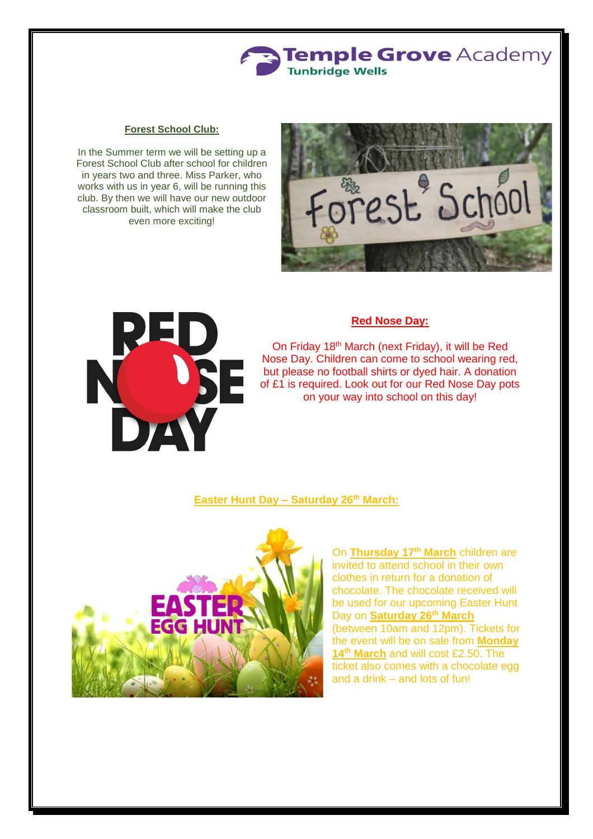

#### **Forest School Club:**

In the Summer term we will be setting up a Forest School Club after school for children in years two and three. Miss Parker, who works with us in year 6, will be running this club. By then we will have our new outdoor classroom built, which will make the club even more exciting!





## **Red Nose Day:**

On Friday 18th March (next Friday), it will be Red Nose Day. Children can come to school wearing red, but please no football shirts or dyed hair. A donation of £1 is required. Look out for our Red Nose Day pots on your way into school on this day!

#### **Easter Hunt Day – Saturday 26th March:**



On **Thursday 17th March** children are invited to attend school in their own clothes in return for a donation of chocolate. The chocolate received will be used for our upcoming Easter Hunt Day on **Saturday 26th March** (between 10am and 12pm). Tickets for the event will be on sale from **Monday 14th March** and will cost £2.50. The ticket also comes with a chocolate egg and a drink – and lots of fun!